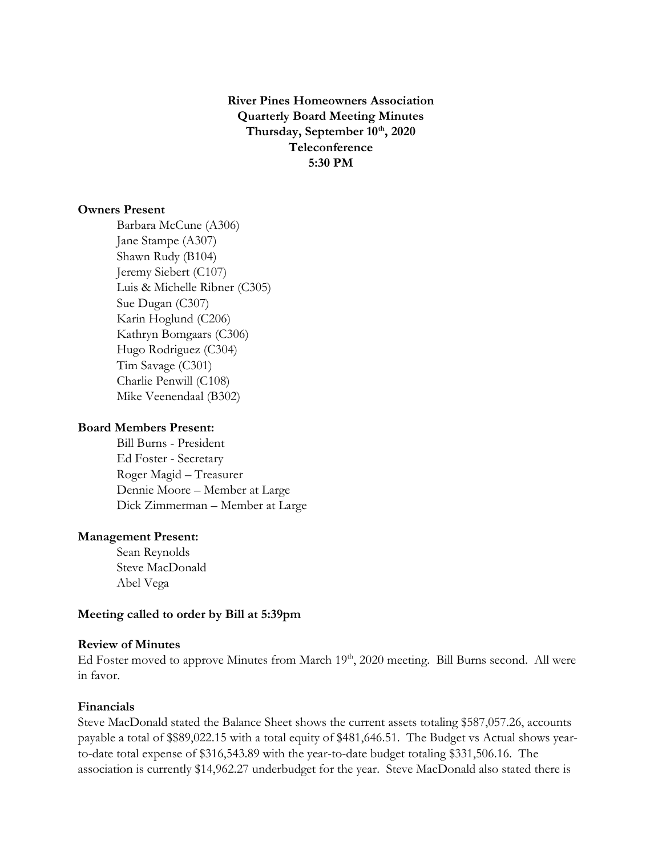**River Pines Homeowners Association Quarterly Board Meeting Minutes Thursday, September 10 th, 2020 Teleconference 5:30 PM**

# **Owners Present**

Barbara McCune (A306) Jane Stampe (A307) Shawn Rudy (B104) Jeremy Siebert (C107) Luis & Michelle Ribner (C305) Sue Dugan (C307) Karin Hoglund (C206) Kathryn Bomgaars (C306) Hugo Rodriguez (C304) Tim Savage (C301) Charlie Penwill (C108) Mike Veenendaal (B302)

## **Board Members Present:**

Bill Burns - President Ed Foster - Secretary Roger Magid – Treasurer Dennie Moore – Member at Large Dick Zimmerman – Member at Large

#### **Management Present:**

Sean Reynolds Steve MacDonald Abel Vega

## **Meeting called to order by Bill at 5:39pm**

## **Review of Minutes**

Ed Foster moved to approve Minutes from March 19<sup>th</sup>, 2020 meeting. Bill Burns second. All were in favor.

### **Financials**

Steve MacDonald stated the Balance Sheet shows the current assets totaling \$587,057.26, accounts payable a total of \$\$89,022.15 with a total equity of \$481,646.51. The Budget vs Actual shows yearto-date total expense of \$316,543.89 with the year-to-date budget totaling \$331,506.16. The association is currently \$14,962.27 underbudget for the year. Steve MacDonald also stated there is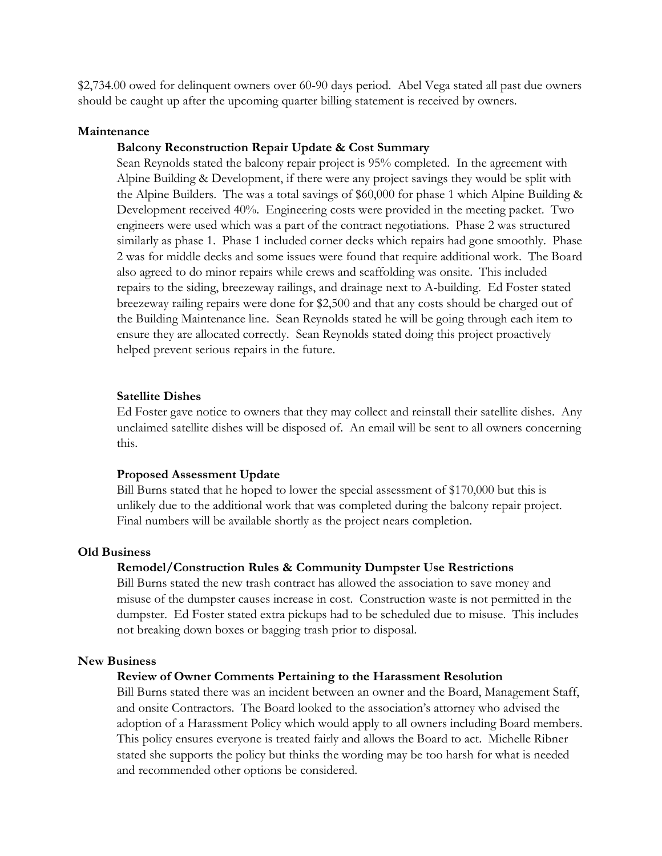\$2,734.00 owed for delinquent owners over 60-90 days period. Abel Vega stated all past due owners should be caught up after the upcoming quarter billing statement is received by owners.

# **Maintenance**

#### **Balcony Reconstruction Repair Update & Cost Summary**

Sean Reynolds stated the balcony repair project is 95% completed. In the agreement with Alpine Building & Development, if there were any project savings they would be split with the Alpine Builders. The was a total savings of \$60,000 for phase 1 which Alpine Building & Development received 40%. Engineering costs were provided in the meeting packet. Two engineers were used which was a part of the contract negotiations. Phase 2 was structured similarly as phase 1. Phase 1 included corner decks which repairs had gone smoothly. Phase 2 was for middle decks and some issues were found that require additional work. The Board also agreed to do minor repairs while crews and scaffolding was onsite. This included repairs to the siding, breezeway railings, and drainage next to A-building. Ed Foster stated breezeway railing repairs were done for \$2,500 and that any costs should be charged out of the Building Maintenance line. Sean Reynolds stated he will be going through each item to ensure they are allocated correctly. Sean Reynolds stated doing this project proactively helped prevent serious repairs in the future.

#### **Satellite Dishes**

Ed Foster gave notice to owners that they may collect and reinstall their satellite dishes. Any unclaimed satellite dishes will be disposed of. An email will be sent to all owners concerning this.

#### **Proposed Assessment Update**

Bill Burns stated that he hoped to lower the special assessment of \$170,000 but this is unlikely due to the additional work that was completed during the balcony repair project. Final numbers will be available shortly as the project nears completion.

## **Old Business**

#### **Remodel/Construction Rules & Community Dumpster Use Restrictions**

Bill Burns stated the new trash contract has allowed the association to save money and misuse of the dumpster causes increase in cost. Construction waste is not permitted in the dumpster. Ed Foster stated extra pickups had to be scheduled due to misuse. This includes not breaking down boxes or bagging trash prior to disposal.

## **New Business**

## **Review of Owner Comments Pertaining to the Harassment Resolution**

Bill Burns stated there was an incident between an owner and the Board, Management Staff, and onsite Contractors. The Board looked to the association's attorney who advised the adoption of a Harassment Policy which would apply to all owners including Board members. This policy ensures everyone is treated fairly and allows the Board to act. Michelle Ribner stated she supports the policy but thinks the wording may be too harsh for what is needed and recommended other options be considered.